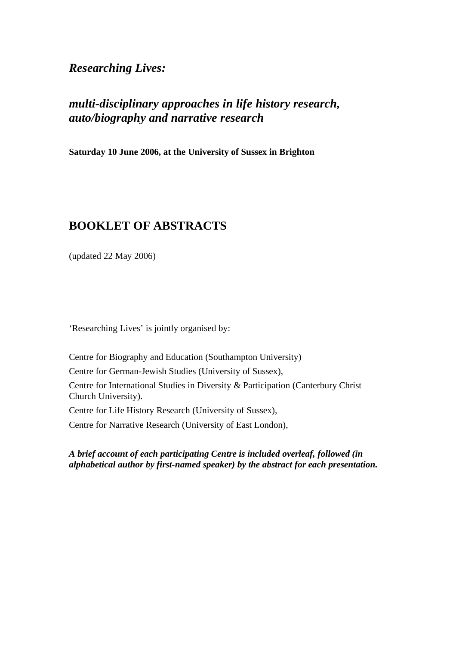*Researching Lives:* 

# *multi-disciplinary approaches in life history research, auto/biography and narrative research*

**Saturday 10 June 2006, at the University of Sussex in Brighton** 

# **BOOKLET OF ABSTRACTS**

(updated 22 May 2006)

'Researching Lives' is jointly organised by:

Centre for Biography and Education (Southampton University)

Centre for German-Jewish Studies (University of Sussex),

Centre for International Studies in Diversity & Participation (Canterbury Christ Church University).

Centre for Life History Research (University of Sussex),

Centre for Narrative Research (University of East London),

*A brief account of each participating Centre is included overleaf, followed (in alphabetical author by first-named speaker) by the abstract for each presentation.*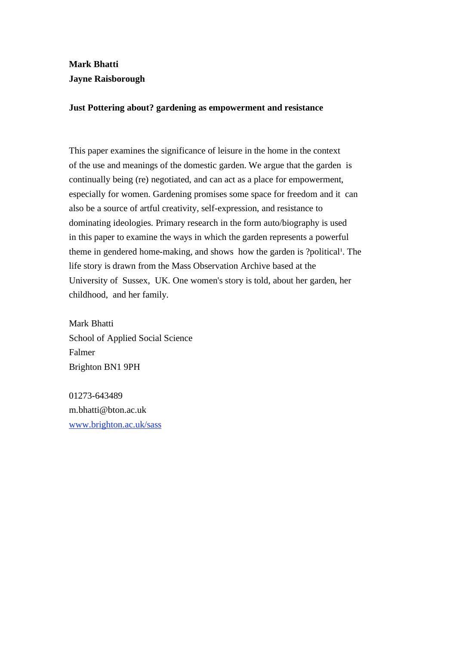## **Mark Bhatti Jayne Raisborough**

## **Just Pottering about? gardening as empowerment and resistance**

This paper examines the significance of leisure in the home in the context of the use and meanings of the domestic garden. We argue that the garden is continually being (re) negotiated, and can act as a place for empowerment, especially for women. Gardening promises some space for freedom and it can also be a source of artful creativity, self-expression, and resistance to dominating ideologies. Primary research in the form auto/biography is used in this paper to examine the ways in which the garden represents a powerful theme in gendered home-making, and shows how the garden is ?political. The life story is drawn from the Mass Observation Archive based at the University of Sussex, UK. One women's story is told, about her garden, her childhood, and her family.

Mark Bhatti School of Applied Social Science Falmer Brighton BN1 9PH

01273-643489 m.bhatti@bton.ac.uk www.brighton.ac.uk/sass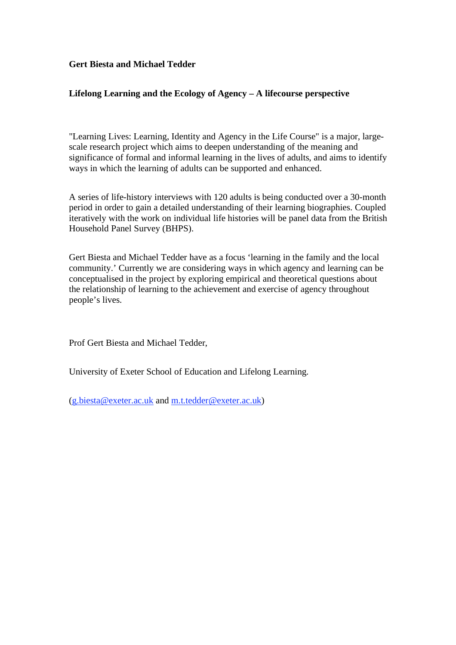## **Gert Biesta and Michael Tedder**

## **Lifelong Learning and the Ecology of Agency – A lifecourse perspective**

"Learning Lives: Learning, Identity and Agency in the Life Course" is a major, largescale research project which aims to deepen understanding of the meaning and significance of formal and informal learning in the lives of adults, and aims to identify ways in which the learning of adults can be supported and enhanced.

A series of life-history interviews with 120 adults is being conducted over a 30-month period in order to gain a detailed understanding of their learning biographies. Coupled iteratively with the work on individual life histories will be panel data from the British Household Panel Survey (BHPS).

Gert Biesta and Michael Tedder have as a focus 'learning in the family and the local community.' Currently we are considering ways in which agency and learning can be conceptualised in the project by exploring empirical and theoretical questions about the relationship of learning to the achievement and exercise of agency throughout people's lives.

Prof Gert Biesta and Michael Tedder,

University of Exeter School of Education and Lifelong Learning.

(g.biesta@exeter.ac.uk and m.t.tedder@exeter.ac.uk)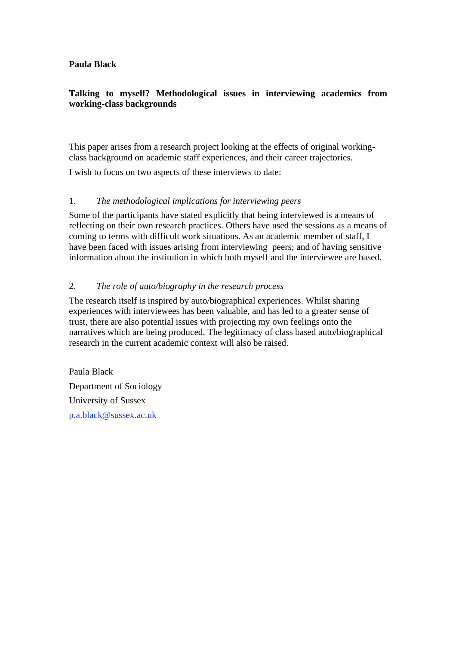## **Paula Black**

## **Talking to myself? Methodological issues in interviewing academics from working-class backgrounds**

This paper arises from a research project looking at the effects of original workingclass background on academic staff experiences, and their career trajectories.

I wish to focus on two aspects of these interviews to date:

## 1. *The methodological implications for interviewing peers*

Some of the participants have stated explicitly that being interviewed is a means of reflecting on their own research practices. Others have used the sessions as a means of coming to terms with difficult work situations. As an academic member of staff, I have been faced with issues arising from interviewing peers; and of having sensitive information about the institution in which both myself and the interviewee are based.

## 2. *The role of auto/biography in the research process*

The research itself is inspired by auto/biographical experiences. Whilst sharing experiences with interviewees has been valuable, and has led to a greater sense of trust, there are also potential issues with projecting my own feelings onto the narratives which are being produced. The legitimacy of class based auto/biographical research in the current academic context will also be raised.

Paula Black Department of Sociology University of Sussex p.a.black@sussex.ac.uk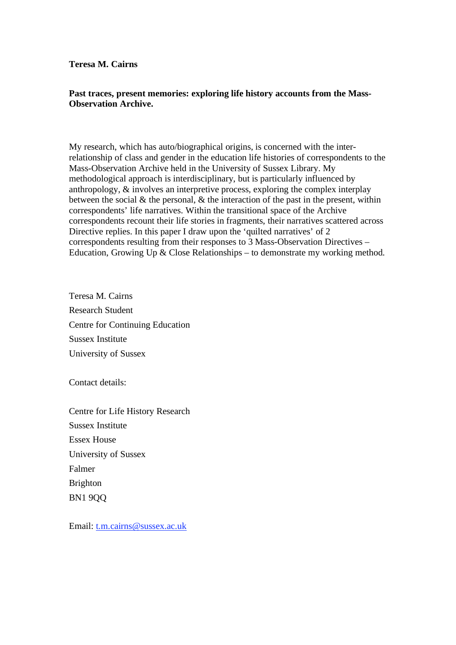#### **Teresa M. Cairns**

## **Past traces, present memories: exploring life history accounts from the Mass-Observation Archive.**

My research, which has auto/biographical origins, is concerned with the interrelationship of class and gender in the education life histories of correspondents to the Mass-Observation Archive held in the University of Sussex Library. My methodological approach is interdisciplinary, but is particularly influenced by anthropology, & involves an interpretive process, exploring the complex interplay between the social  $\&$  the personal,  $\&$  the interaction of the past in the present, within correspondents' life narratives. Within the transitional space of the Archive correspondents recount their life stories in fragments, their narratives scattered across Directive replies. In this paper I draw upon the 'quilted narratives' of 2 correspondents resulting from their responses to 3 Mass-Observation Directives – Education, Growing Up  $&$  Close Relationships – to demonstrate my working method.

Teresa M. Cairns Research Student Centre for Continuing Education Sussex Institute University of Sussex

Contact details:

Centre for Life History Research Sussex Institute Essex House University of Sussex Falmer Brighton BN1 9QQ

Email: t.m.cairns@sussex.ac.uk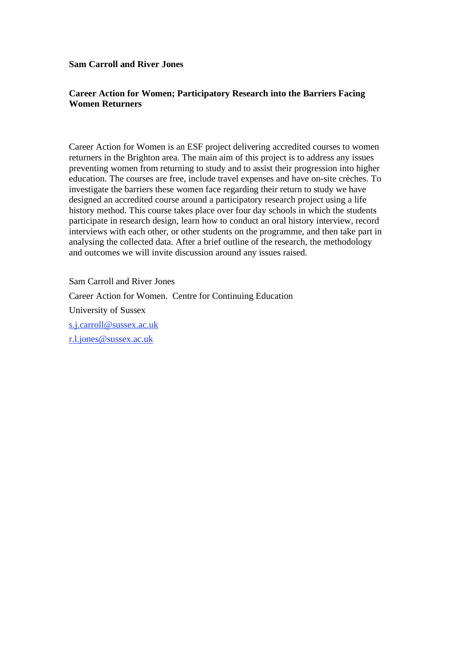#### **Sam Carroll and River Jones**

## **Career Action for Women; Participatory Research into the Barriers Facing Women Returners**

Career Action for Women is an ESF project delivering accredited courses to women returners in the Brighton area. The main aim of this project is to address any issues preventing women from returning to study and to assist their progression into higher education. The courses are free, include travel expenses and have on-site crèches. To investigate the barriers these women face regarding their return to study we have designed an accredited course around a participatory research project using a life history method. This course takes place over four day schools in which the students participate in research design, learn how to conduct an oral history interview, record interviews with each other, or other students on the programme, and then take part in analysing the collected data. After a brief outline of the research, the methodology and outcomes we will invite discussion around any issues raised.

Sam Carroll and River Jones Career Action for Women. Centre for Continuing Education University of Sussex s.j.carroll@sussex.ac.uk r.l.jones@sussex.ac.uk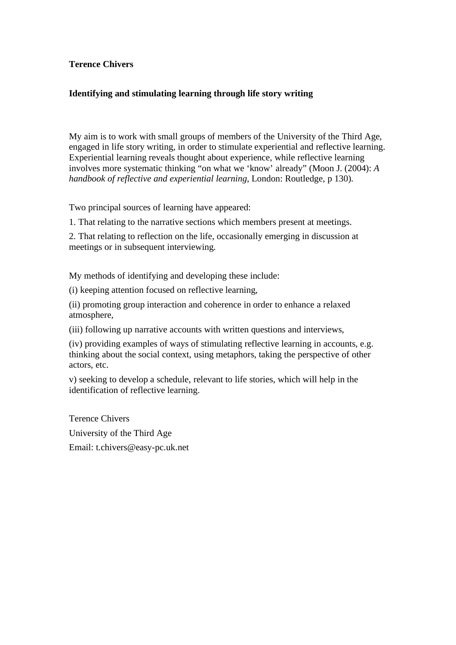## **Terence Chivers**

## **Identifying and stimulating learning through life story writing**

My aim is to work with small groups of members of the University of the Third Age, engaged in life story writing, in order to stimulate experiential and reflective learning. Experiential learning reveals thought about experience, while reflective learning involves more systematic thinking "on what we 'know' already" (Moon J. (2004): *A handbook of reflective and experiential learning*, London: Routledge, p 130).

Two principal sources of learning have appeared:

1. That relating to the narrative sections which members present at meetings.

2. That relating to reflection on the life, occasionally emerging in discussion at meetings or in subsequent interviewing.

My methods of identifying and developing these include:

(i) keeping attention focused on reflective learning,

(ii) promoting group interaction and coherence in order to enhance a relaxed atmosphere,

(iii) following up narrative accounts with written questions and interviews,

(iv) providing examples of ways of stimulating reflective learning in accounts, e.g. thinking about the social context, using metaphors, taking the perspective of other actors, etc.

v) seeking to develop a schedule, relevant to life stories, which will help in the identification of reflective learning.

Terence Chivers University of the Third Age Email: t.chivers@easy-pc.uk.net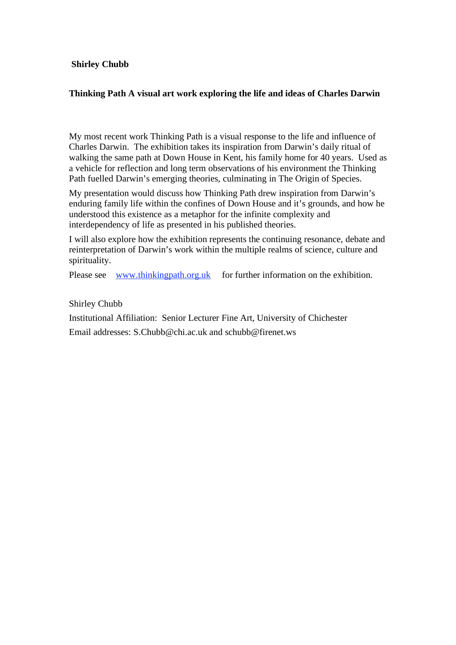## **Shirley Chubb**

## **Thinking Path A visual art work exploring the life and ideas of Charles Darwin**

My most recent work Thinking Path is a visual response to the life and influence of Charles Darwin. The exhibition takes its inspiration from Darwin's daily ritual of walking the same path at Down House in Kent, his family home for 40 years. Used as a vehicle for reflection and long term observations of his environment the Thinking Path fuelled Darwin's emerging theories, culminating in The Origin of Species.

My presentation would discuss how Thinking Path drew inspiration from Darwin's enduring family life within the confines of Down House and it's grounds, and how he understood this existence as a metaphor for the infinite complexity and interdependency of life as presented in his published theories.

I will also explore how the exhibition represents the continuing resonance, debate and reinterpretation of Darwin's work within the multiple realms of science, culture and spirituality.

Please see www.thinkingpath.org.uk for further information on the exhibition.

Shirley Chubb

Institutional Affiliation: Senior Lecturer Fine Art, University of Chichester Email addresses: S.Chubb@chi.ac.uk and schubb@firenet.ws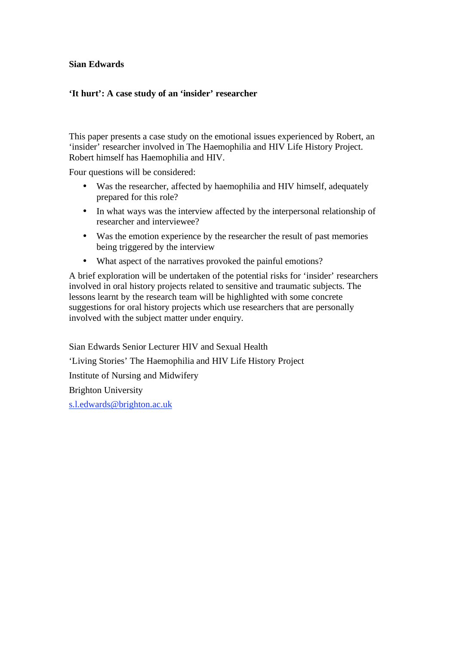## **Sian Edwards**

## **'It hurt': A case study of an 'insider' researcher**

This paper presents a case study on the emotional issues experienced by Robert, an 'insider' researcher involved in The Haemophilia and HIV Life History Project. Robert himself has Haemophilia and HIV.

Four questions will be considered:

- Was the researcher, affected by haemophilia and HIV himself, adequately prepared for this role?
- In what ways was the interview affected by the interpersonal relationship of researcher and interviewee?
- Was the emotion experience by the researcher the result of past memories being triggered by the interview
- What aspect of the narratives provoked the painful emotions?

A brief exploration will be undertaken of the potential risks for 'insider' researchers involved in oral history projects related to sensitive and traumatic subjects. The lessons learnt by the research team will be highlighted with some concrete suggestions for oral history projects which use researchers that are personally involved with the subject matter under enquiry.

Sian Edwards Senior Lecturer HIV and Sexual Health 'Living Stories' The Haemophilia and HIV Life History Project Institute of Nursing and Midwifery Brighton University s.l.edwards@brighton.ac.uk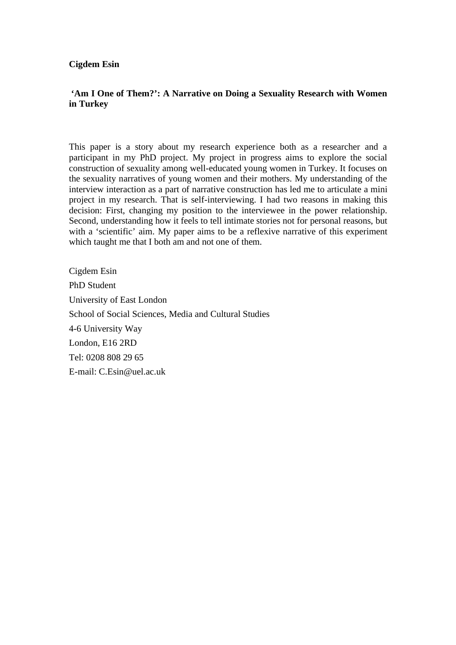**Cigdem Esin** 

## **'Am I One of Them?': A Narrative on Doing a Sexuality Research with Women in Turkey**

This paper is a story about my research experience both as a researcher and a participant in my PhD project. My project in progress aims to explore the social construction of sexuality among well-educated young women in Turkey. It focuses on the sexuality narratives of young women and their mothers. My understanding of the interview interaction as a part of narrative construction has led me to articulate a mini project in my research. That is self-interviewing. I had two reasons in making this decision: First, changing my position to the interviewee in the power relationship. Second, understanding how it feels to tell intimate stories not for personal reasons, but with a 'scientific' aim. My paper aims to be a reflexive narrative of this experiment which taught me that I both am and not one of them.

Cigdem Esin PhD Student University of East London School of Social Sciences, Media and Cultural Studies 4-6 University Way London, E16 2RD Tel: 0208 808 29 65 E-mail: C.Esin@uel.ac.uk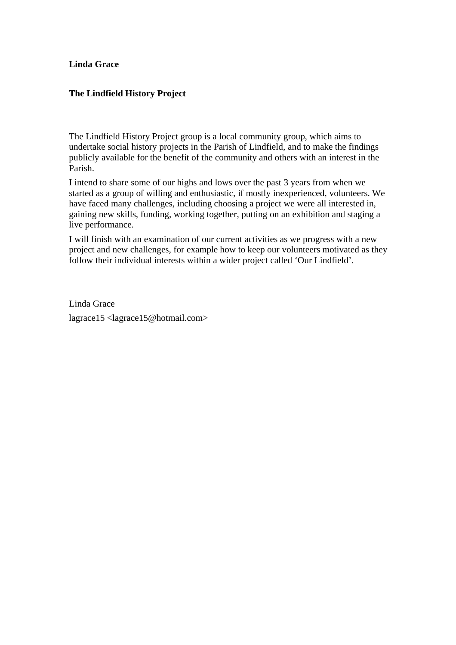#### **Linda Grace**

## **The Lindfield History Project**

The Lindfield History Project group is a local community group, which aims to undertake social history projects in the Parish of Lindfield, and to make the findings publicly available for the benefit of the community and others with an interest in the Parish.

I intend to share some of our highs and lows over the past 3 years from when we started as a group of willing and enthusiastic, if mostly inexperienced, volunteers. We have faced many challenges, including choosing a project we were all interested in, gaining new skills, funding, working together, putting on an exhibition and staging a live performance.

I will finish with an examination of our current activities as we progress with a new project and new challenges, for example how to keep our volunteers motivated as they follow their individual interests within a wider project called 'Our Lindfield'.

Linda Grace lagrace15 <lagrace15@hotmail.com>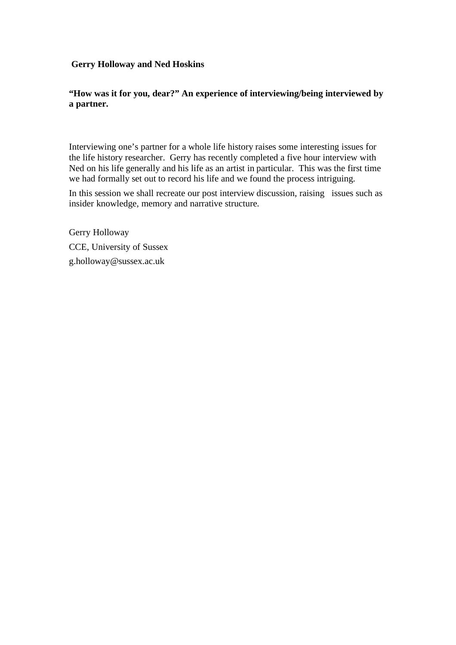## **Gerry Holloway and Ned Hoskins**

## **"How was it for you, dear?" An experience of interviewing/being interviewed by a partner.**

Interviewing one's partner for a whole life history raises some interesting issues for the life history researcher. Gerry has recently completed a five hour interview with Ned on his life generally and his life as an artist in particular. This was the first time we had formally set out to record his life and we found the process intriguing.

In this session we shall recreate our post interview discussion, raising issues such as insider knowledge, memory and narrative structure.

Gerry Holloway CCE, University of Sussex g.holloway@sussex.ac.uk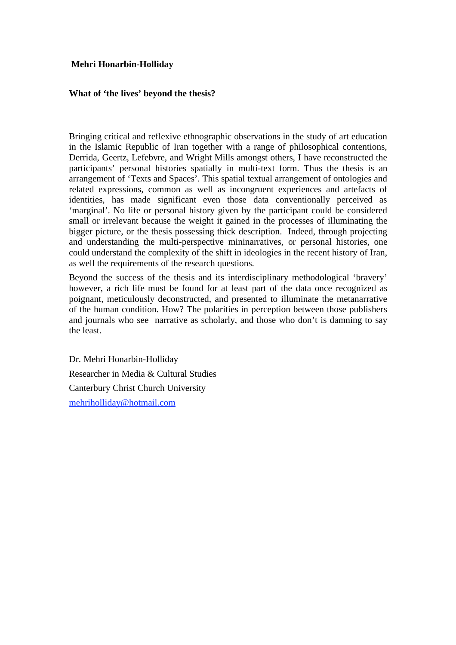## **Mehri Honarbin-Holliday**

## **What of 'the lives' beyond the thesis?**

Bringing critical and reflexive ethnographic observations in the study of art education in the Islamic Republic of Iran together with a range of philosophical contentions, Derrida, Geertz, Lefebvre, and Wright Mills amongst others, I have reconstructed the participants' personal histories spatially in multi-text form. Thus the thesis is an arrangement of 'Texts and Spaces'. This spatial textual arrangement of ontologies and related expressions, common as well as incongruent experiences and artefacts of identities, has made significant even those data conventionally perceived as 'marginal'. No life or personal history given by the participant could be considered small or irrelevant because the weight it gained in the processes of illuminating the bigger picture, or the thesis possessing thick description. Indeed, through projecting and understanding the multi-perspective mininarratives, or personal histories, one could understand the complexity of the shift in ideologies in the recent history of Iran, as well the requirements of the research questions.

Beyond the success of the thesis and its interdisciplinary methodological 'bravery' however, a rich life must be found for at least part of the data once recognized as poignant, meticulously deconstructed, and presented to illuminate the metanarrative of the human condition. How? The polarities in perception between those publishers and journals who see narrative as scholarly, and those who don't is damning to say the least.

Dr. Mehri Honarbin-Holliday Researcher in Media & Cultural Studies Canterbury Christ Church University mehriholliday@hotmail.com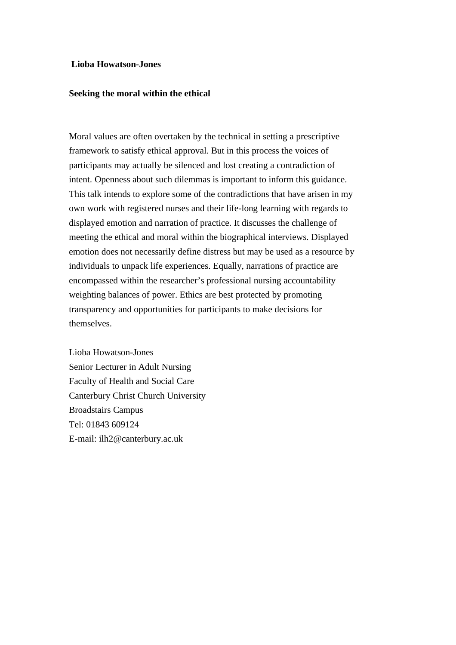#### **Lioba Howatson-Jones**

#### **Seeking the moral within the ethical**

Moral values are often overtaken by the technical in setting a prescriptive framework to satisfy ethical approval. But in this process the voices of participants may actually be silenced and lost creating a contradiction of intent. Openness about such dilemmas is important to inform this guidance. This talk intends to explore some of the contradictions that have arisen in my own work with registered nurses and their life-long learning with regards to displayed emotion and narration of practice. It discusses the challenge of meeting the ethical and moral within the biographical interviews. Displayed emotion does not necessarily define distress but may be used as a resource by individuals to unpack life experiences. Equally, narrations of practice are encompassed within the researcher's professional nursing accountability weighting balances of power. Ethics are best protected by promoting transparency and opportunities for participants to make decisions for themselves.

Lioba Howatson-Jones Senior Lecturer in Adult Nursing Faculty of Health and Social Care Canterbury Christ Church University Broadstairs Campus Tel: 01843 609124 E-mail: ilh2@canterbury.ac.uk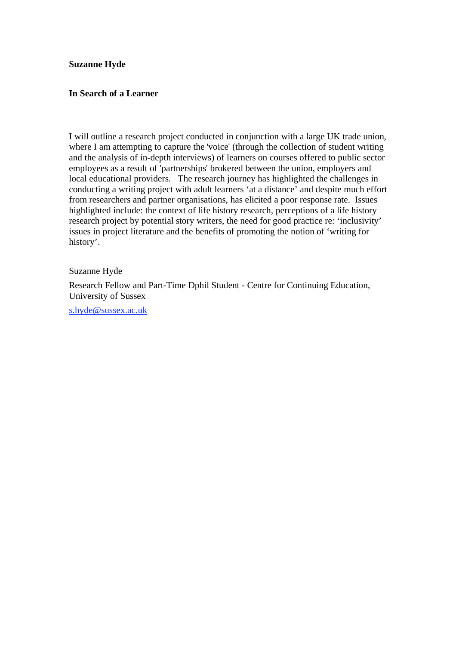## **Suzanne Hyde**

#### **In Search of a Learner**

I will outline a research project conducted in conjunction with a large UK trade union, where I am attempting to capture the 'voice' (through the collection of student writing and the analysis of in-depth interviews) of learners on courses offered to public sector employees as a result of 'partnerships' brokered between the union, employers and local educational providers. The research journey has highlighted the challenges in conducting a writing project with adult learners 'at a distance' and despite much effort from researchers and partner organisations, has elicited a poor response rate. Issues highlighted include: the context of life history research, perceptions of a life history research project by potential story writers, the need for good practice re: 'inclusivity' issues in project literature and the benefits of promoting the notion of 'writing for history'.

#### Suzanne Hyde

Research Fellow and Part-Time Dphil Student - Centre for Continuing Education, University of Sussex

s.hyde@sussex.ac.uk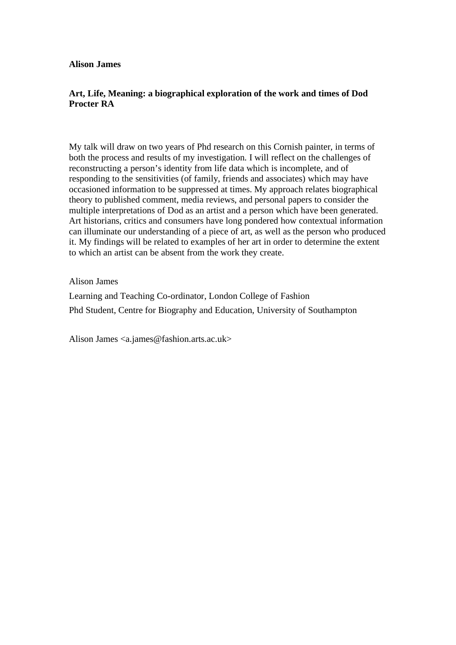#### **Alison James**

## **Art, Life, Meaning: a biographical exploration of the work and times of Dod Procter RA**

My talk will draw on two years of Phd research on this Cornish painter, in terms of both the process and results of my investigation. I will reflect on the challenges of reconstructing a person's identity from life data which is incomplete, and of responding to the sensitivities (of family, friends and associates) which may have occasioned information to be suppressed at times. My approach relates biographical theory to published comment, media reviews, and personal papers to consider the multiple interpretations of Dod as an artist and a person which have been generated. Art historians, critics and consumers have long pondered how contextual information can illuminate our understanding of a piece of art, as well as the person who produced it. My findings will be related to examples of her art in order to determine the extent to which an artist can be absent from the work they create.

Alison James

Learning and Teaching Co-ordinator, London College of Fashion Phd Student, Centre for Biography and Education, University of Southampton

Alison James <a.james@fashion.arts.ac.uk>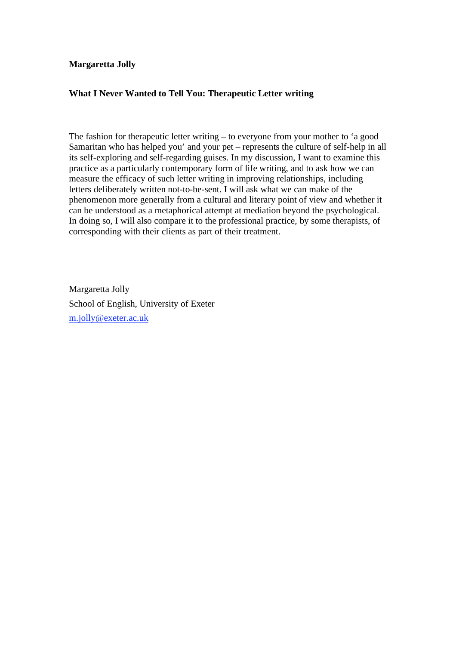## **Margaretta Jolly**

## **What I Never Wanted to Tell You: Therapeutic Letter writing**

The fashion for therapeutic letter writing – to everyone from your mother to 'a good Samaritan who has helped you' and your pet – represents the culture of self-help in all its self-exploring and self-regarding guises. In my discussion, I want to examine this practice as a particularly contemporary form of life writing, and to ask how we can measure the efficacy of such letter writing in improving relationships, including letters deliberately written not-to-be-sent. I will ask what we can make of the phenomenon more generally from a cultural and literary point of view and whether it can be understood as a metaphorical attempt at mediation beyond the psychological. In doing so, I will also compare it to the professional practice, by some therapists, of corresponding with their clients as part of their treatment.

Margaretta Jolly School of English, University of Exeter m.jolly@exeter.ac.uk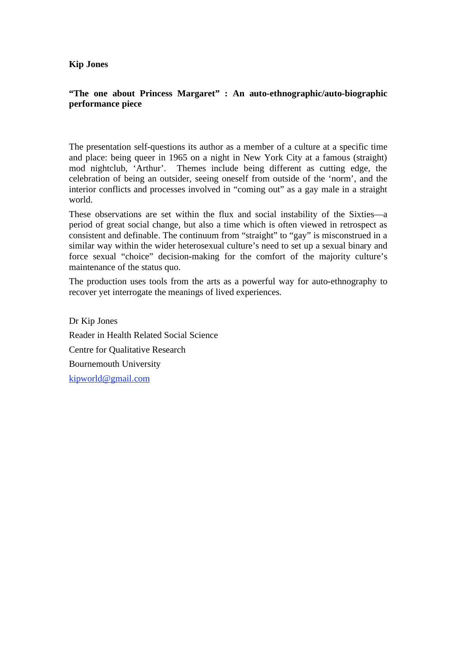#### **Kip Jones**

## **"The one about Princess Margaret" : An auto-ethnographic/auto-biographic performance piece**

The presentation self-questions its author as a member of a culture at a specific time and place: being queer in 1965 on a night in New York City at a famous (straight) mod nightclub, 'Arthur'. Themes include being different as cutting edge, the celebration of being an outsider, seeing oneself from outside of the 'norm', and the interior conflicts and processes involved in "coming out" as a gay male in a straight world.

These observations are set within the flux and social instability of the Sixties—a period of great social change, but also a time which is often viewed in retrospect as consistent and definable. The continuum from "straight" to "gay" is misconstrued in a similar way within the wider heterosexual culture's need to set up a sexual binary and force sexual "choice" decision-making for the comfort of the majority culture's maintenance of the status quo.

The production uses tools from the arts as a powerful way for auto-ethnography to recover yet interrogate the meanings of lived experiences.

Dr Kip Jones Reader in Health Related Social Science Centre for Qualitative Research Bournemouth University kipworld@gmail.com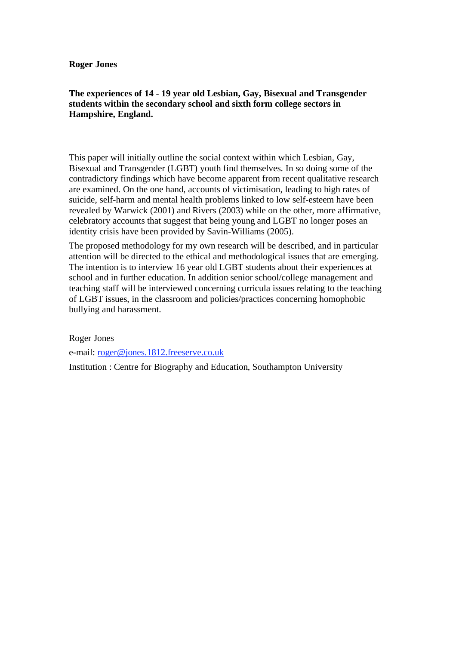**Roger Jones** 

## **The experiences of 14 - 19 year old Lesbian, Gay, Bisexual and Transgender students within the secondary school and sixth form college sectors in Hampshire, England.**

This paper will initially outline the social context within which Lesbian, Gay, Bisexual and Transgender (LGBT) youth find themselves. In so doing some of the contradictory findings which have become apparent from recent qualitative research are examined. On the one hand, accounts of victimisation, leading to high rates of suicide, self-harm and mental health problems linked to low self-esteem have been revealed by Warwick (2001) and Rivers (2003) while on the other, more affirmative, celebratory accounts that suggest that being young and LGBT no longer poses an identity crisis have been provided by Savin-Williams (2005).

The proposed methodology for my own research will be described, and in particular attention will be directed to the ethical and methodological issues that are emerging. The intention is to interview 16 year old LGBT students about their experiences at school and in further education. In addition senior school/college management and teaching staff will be interviewed concerning curricula issues relating to the teaching of LGBT issues, in the classroom and policies/practices concerning homophobic bullying and harassment.

Roger Jones

e-mail: roger@jones.1812.freeserve.co.uk

Institution : Centre for Biography and Education, Southampton University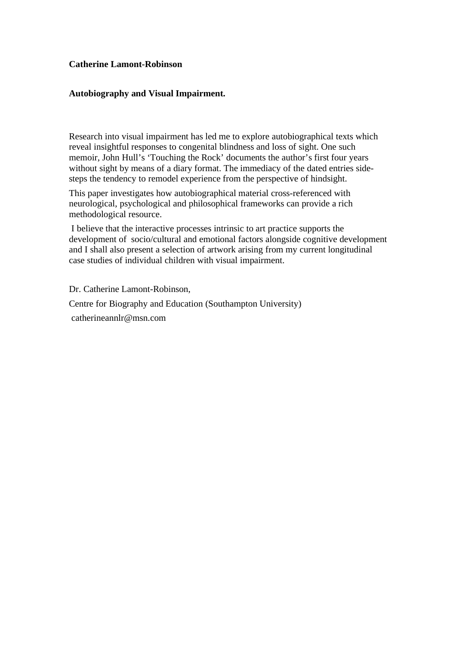#### **Catherine Lamont-Robinson**

#### **Autobiography and Visual Impairment.**

Research into visual impairment has led me to explore autobiographical texts which reveal insightful responses to congenital blindness and loss of sight. One such memoir, John Hull's 'Touching the Rock' documents the author's first four years without sight by means of a diary format. The immediacy of the dated entries sidesteps the tendency to remodel experience from the perspective of hindsight.

This paper investigates how autobiographical material cross-referenced with neurological, psychological and philosophical frameworks can provide a rich methodological resource.

 I believe that the interactive processes intrinsic to art practice supports the development of socio/cultural and emotional factors alongside cognitive development and I shall also present a selection of artwork arising from my current longitudinal case studies of individual children with visual impairment.

Dr. Catherine Lamont-Robinson,

Centre for Biography and Education (Southampton University)

catherineannlr@msn.com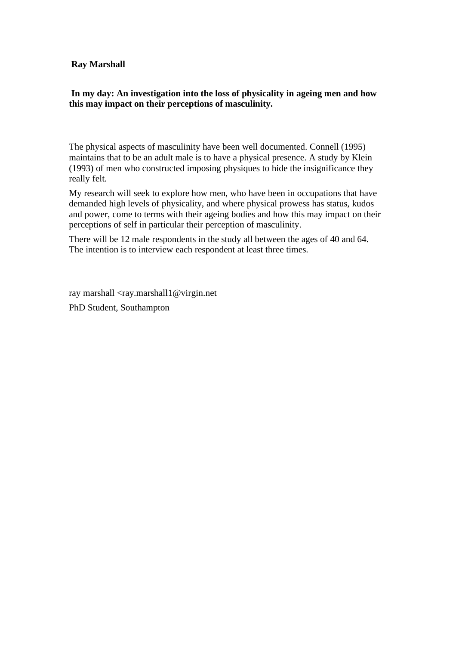#### **Ray Marshall**

## **In my day: An investigation into the loss of physicality in ageing men and how this may impact on their perceptions of masculinity.**

The physical aspects of masculinity have been well documented. Connell (1995) maintains that to be an adult male is to have a physical presence. A study by Klein (1993) of men who constructed imposing physiques to hide the insignificance they really felt.

My research will seek to explore how men, who have been in occupations that have demanded high levels of physicality, and where physical prowess has status, kudos and power, come to terms with their ageing bodies and how this may impact on their perceptions of self in particular their perception of masculinity.

There will be 12 male respondents in the study all between the ages of 40 and 64. The intention is to interview each respondent at least three times.

ray marshall <ray.marshall1@virgin.net PhD Student, Southampton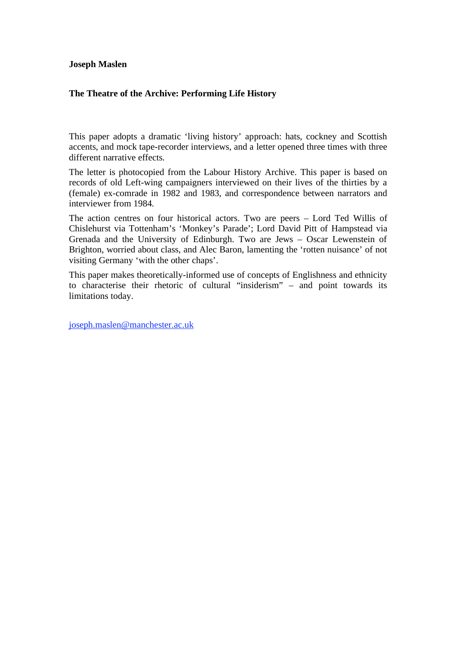#### **Joseph Maslen**

## **The Theatre of the Archive: Performing Life History**

This paper adopts a dramatic 'living history' approach: hats, cockney and Scottish accents, and mock tape-recorder interviews, and a letter opened three times with three different narrative effects.

The letter is photocopied from the Labour History Archive. This paper is based on records of old Left-wing campaigners interviewed on their lives of the thirties by a (female) ex-comrade in 1982 and 1983, and correspondence between narrators and interviewer from 1984.

The action centres on four historical actors. Two are peers – Lord Ted Willis of Chislehurst via Tottenham's 'Monkey's Parade'; Lord David Pitt of Hampstead via Grenada and the University of Edinburgh. Two are Jews – Oscar Lewenstein of Brighton, worried about class, and Alec Baron, lamenting the 'rotten nuisance' of not visiting Germany 'with the other chaps'.

This paper makes theoretically-informed use of concepts of Englishness and ethnicity to characterise their rhetoric of cultural "insiderism" – and point towards its limitations today.

joseph.maslen@manchester.ac.uk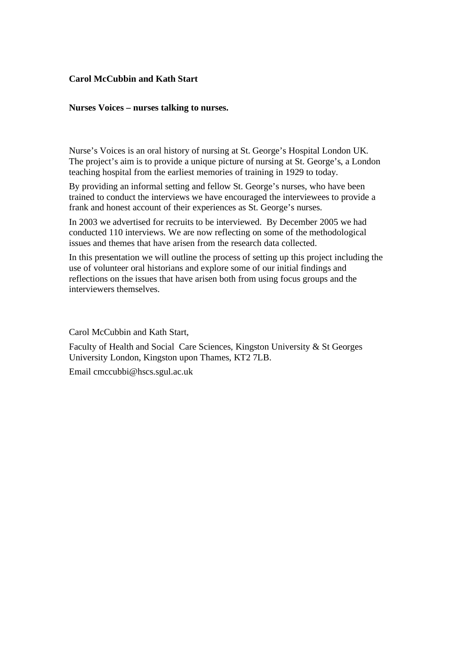## **Carol McCubbin and Kath Start**

#### **Nurses Voices – nurses talking to nurses.**

Nurse's Voices is an oral history of nursing at St. George's Hospital London UK. The project's aim is to provide a unique picture of nursing at St. George's, a London teaching hospital from the earliest memories of training in 1929 to today.

By providing an informal setting and fellow St. George's nurses, who have been trained to conduct the interviews we have encouraged the interviewees to provide a frank and honest account of their experiences as St. George's nurses.

In 2003 we advertised for recruits to be interviewed. By December 2005 we had conducted 110 interviews. We are now reflecting on some of the methodological issues and themes that have arisen from the research data collected.

In this presentation we will outline the process of setting up this project including the use of volunteer oral historians and explore some of our initial findings and reflections on the issues that have arisen both from using focus groups and the interviewers themselves.

Carol McCubbin and Kath Start,

Faculty of Health and Social Care Sciences, Kingston University & St Georges University London, Kingston upon Thames, KT2 7LB.

Email cmccubbi@hscs.sgul.ac.uk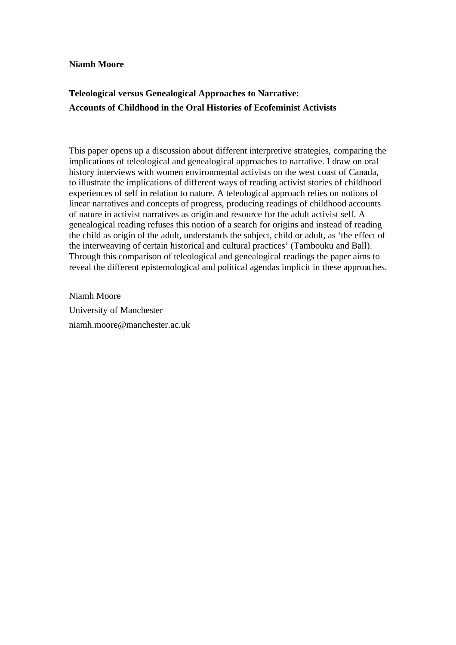#### **Niamh Moore**

## **Teleological versus Genealogical Approaches to Narrative: Accounts of Childhood in the Oral Histories of Ecofeminist Activists**

This paper opens up a discussion about different interpretive strategies, comparing the implications of teleological and genealogical approaches to narrative. I draw on oral history interviews with women environmental activists on the west coast of Canada, to illustrate the implications of different ways of reading activist stories of childhood experiences of self in relation to nature. A teleological approach relies on notions of linear narratives and concepts of progress, producing readings of childhood accounts of nature in activist narratives as origin and resource for the adult activist self. A genealogical reading refuses this notion of a search for origins and instead of reading the child as origin of the adult, understands the subject, child or adult, as 'the effect of the interweaving of certain historical and cultural practices' (Tambouku and Ball). Through this comparison of teleological and genealogical readings the paper aims to reveal the different epistemological and political agendas implicit in these approaches.

Niamh Moore University of Manchester niamh.moore@manchester.ac.uk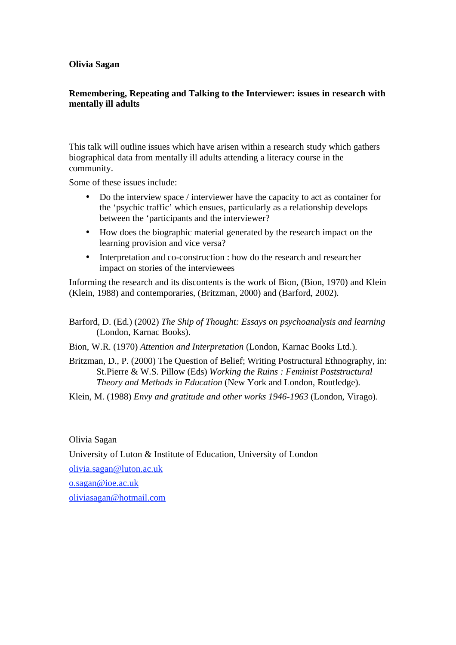#### **Olivia Sagan**

## **Remembering, Repeating and Talking to the Interviewer: issues in research with mentally ill adults**

This talk will outline issues which have arisen within a research study which gathers biographical data from mentally ill adults attending a literacy course in the community.

Some of these issues include:

- Do the interview space / interviewer have the capacity to act as container for the 'psychic traffic' which ensues, particularly as a relationship develops between the 'participants and the interviewer?
- How does the biographic material generated by the research impact on the learning provision and vice versa?
- Interpretation and co-construction : how do the research and researcher impact on stories of the interviewees

Informing the research and its discontents is the work of Bion, (Bion, 1970) and Klein (Klein, 1988) and contemporaries, (Britzman, 2000) and (Barford, 2002).

Barford, D. (Ed.) (2002) *The Ship of Thought: Essays on psychoanalysis and learning* (London, Karnac Books).

Bion, W.R. (1970) *Attention and Interpretation* (London, Karnac Books Ltd.).

Britzman, D., P. (2000) The Question of Belief; Writing Postructural Ethnography, in: St.Pierre & W.S. Pillow (Eds) *Working the Ruins : Feminist Poststructural Theory and Methods in Education* (New York and London, Routledge).

Klein, M. (1988) *Envy and gratitude and other works 1946-1963* (London, Virago).

Olivia Sagan

University of Luton & Institute of Education, University of London

olivia.sagan@luton.ac.uk

o.sagan@ioe.ac.uk

oliviasagan@hotmail.com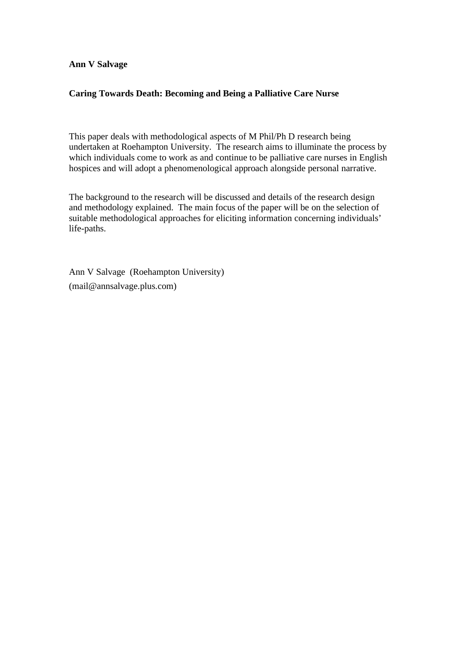#### **Ann V Salvage**

## **Caring Towards Death: Becoming and Being a Palliative Care Nurse**

This paper deals with methodological aspects of M Phil/Ph D research being undertaken at Roehampton University. The research aims to illuminate the process by which individuals come to work as and continue to be palliative care nurses in English hospices and will adopt a phenomenological approach alongside personal narrative.

The background to the research will be discussed and details of the research design and methodology explained. The main focus of the paper will be on the selection of suitable methodological approaches for eliciting information concerning individuals' life-paths.

Ann V Salvage (Roehampton University) (mail@annsalvage.plus.com)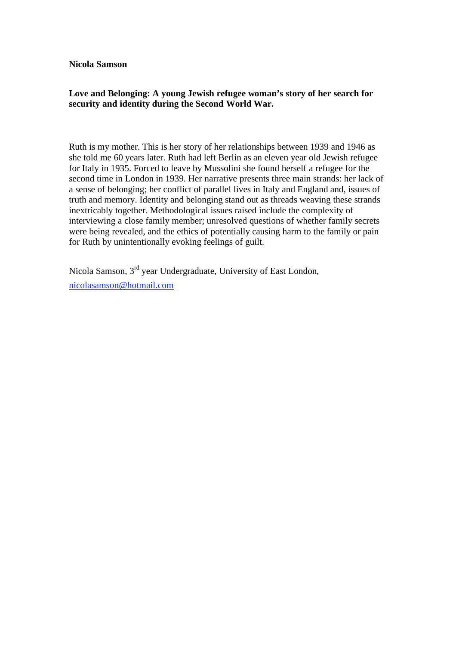**Nicola Samson** 

## **Love and Belonging: A young Jewish refugee woman's story of her search for security and identity during the Second World War.**

Ruth is my mother. This is her story of her relationships between 1939 and 1946 as she told me 60 years later. Ruth had left Berlin as an eleven year old Jewish refugee for Italy in 1935. Forced to leave by Mussolini she found herself a refugee for the second time in London in 1939. Her narrative presents three main strands: her lack of a sense of belonging; her conflict of parallel lives in Italy and England and, issues of truth and memory. Identity and belonging stand out as threads weaving these strands inextricably together. Methodological issues raised include the complexity of interviewing a close family member; unresolved questions of whether family secrets were being revealed, and the ethics of potentially causing harm to the family or pain for Ruth by unintentionally evoking feelings of guilt.

Nicola Samson, 3rd year Undergraduate, University of East London, nicolasamson@hotmail.com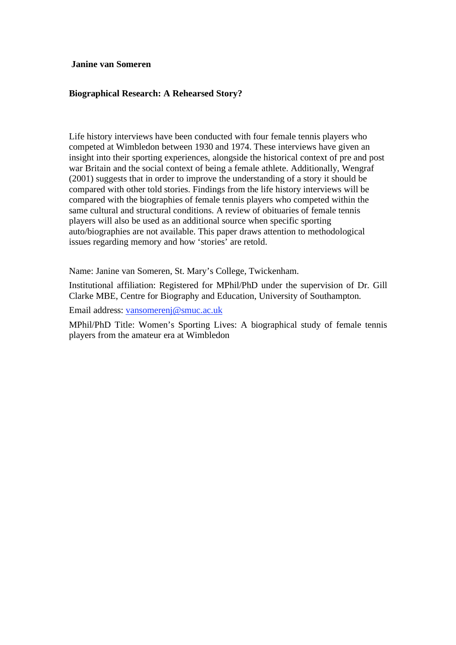**Janine van Someren** 

## **Biographical Research: A Rehearsed Story?**

Life history interviews have been conducted with four female tennis players who competed at Wimbledon between 1930 and 1974. These interviews have given an insight into their sporting experiences, alongside the historical context of pre and post war Britain and the social context of being a female athlete. Additionally, Wengraf (2001) suggests that in order to improve the understanding of a story it should be compared with other told stories. Findings from the life history interviews will be compared with the biographies of female tennis players who competed within the same cultural and structural conditions. A review of obituaries of female tennis players will also be used as an additional source when specific sporting auto/biographies are not available. This paper draws attention to methodological issues regarding memory and how 'stories' are retold.

Name: Janine van Someren, St. Mary's College, Twickenham.

Institutional affiliation: Registered for MPhil/PhD under the supervision of Dr. Gill Clarke MBE, Centre for Biography and Education, University of Southampton.

Email address: vansomerenj@smuc.ac.uk

MPhil/PhD Title: Women's Sporting Lives: A biographical study of female tennis players from the amateur era at Wimbledon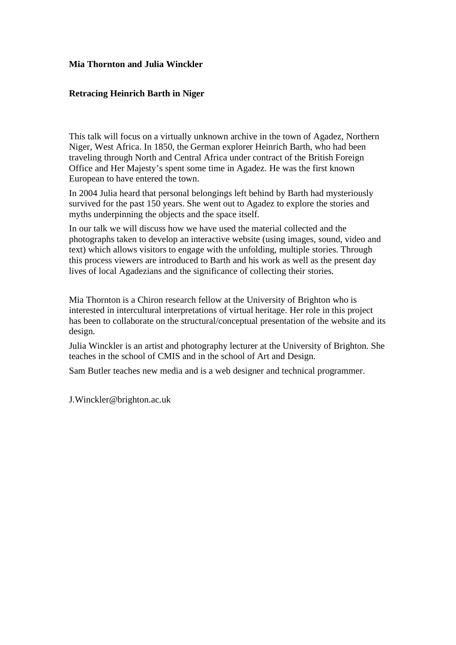## **Mia Thornton and Julia Winckler**

## **Retracing Heinrich Barth in Niger**

This talk will focus on a virtually unknown archive in the town of Agadez, Northern Niger, West Africa. In 1850, the German explorer Heinrich Barth, who had been traveling through North and Central Africa under contract of the British Foreign Office and Her Majesty's spent some time in Agadez. He was the first known European to have entered the town.

In 2004 Julia heard that personal belongings left behind by Barth had mysteriously survived for the past 150 years. She went out to Agadez to explore the stories and myths underpinning the objects and the space itself.

In our talk we will discuss how we have used the material collected and the photographs taken to develop an interactive website (using images, sound, video and text) which allows visitors to engage with the unfolding, multiple stories. Through this process viewers are introduced to Barth and his work as well as the present day lives of local Agadezians and the significance of collecting their stories.

Mia Thornton is a Chiron research fellow at the University of Brighton who is interested in intercultural interpretations of virtual heritage. Her role in this project has been to collaborate on the structural/conceptual presentation of the website and its design.

Julia Winckler is an artist and photography lecturer at the University of Brighton. She teaches in the school of CMIS and in the school of Art and Design.

Sam Butler teaches new media and is a web designer and technical programmer.

J.Winckler@brighton.ac.uk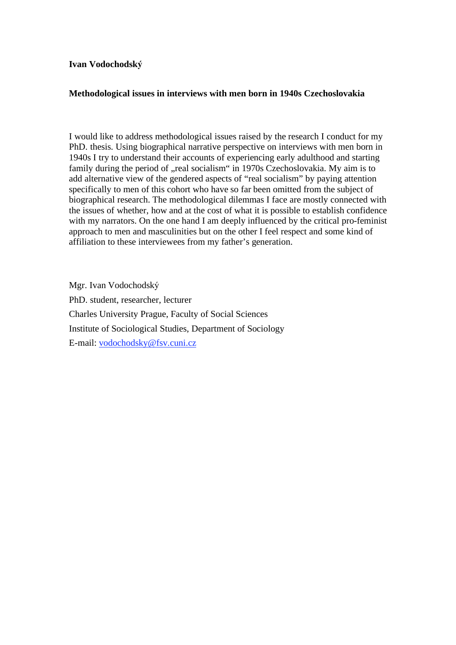#### **Ivan Vodochodsk**

## **Methodological issues in interviews with men born in 1940s Czechoslovakia**

I would like to address methodological issues raised by the research I conduct for my PhD. thesis. Using biographical narrative perspective on interviews with men born in 1940s I try to understand their accounts of experiencing early adulthood and starting family during the period of "real socialism" in 1970s Czechoslovakia. My aim is to add alternative view of the gendered aspects of "real socialism" by paying attention specifically to men of this cohort who have so far been omitted from the subject of biographical research. The methodological dilemmas I face are mostly connected with the issues of whether, how and at the cost of what it is possible to establish confidence with my narrators. On the one hand I am deeply influenced by the critical pro-feminist approach to men and masculinities but on the other I feel respect and some kind of affiliation to these interviewees from my father's generation.

Mgr. Ivan Vodochodsk PhD. student, researcher, lecturer Charles University Prague, Faculty of Social Sciences Institute of Sociological Studies, Department of Sociology E-mail: vodochodsky@fsv.cuni.cz